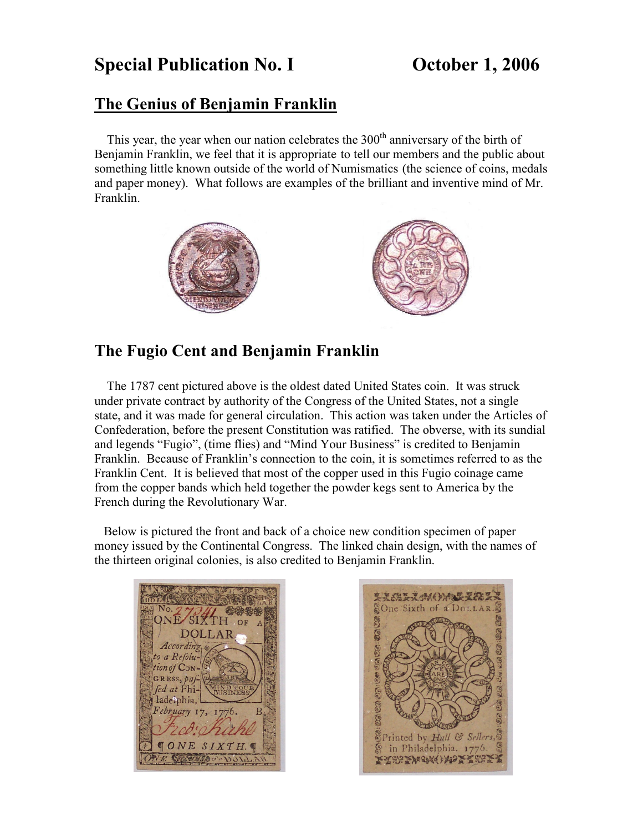## **Special Publication No. I Conserved Conserved Details Publication No. I** Conserved Details

## **The Genius of Benjamin Franklin**

This year, the year when our nation celebrates the 300<sup>th</sup> anniversary of the birth of Benjamin Franklin, we feel that it is appropriate to tell our members and the public about something little known outside of the world of Numismatics (the science of coins, medals and paper money). What follows are examples of the brilliant and inventive mind of Mr. Franklin.



## **The Fugio Cent and Benjamin Franklin**

The 1787 cent pictured above is the oldest dated United States coin. It was struck under private contract by authority of the Congress of the United States, not a single state, and it was made for general circulation. This action was taken under the Articles of Confederation, before the present Constitution was ratified. The obverse, with its sundial and legends "Fugio", (time flies) and "Mind Your Business" is credited to Benjamin Franklin. Because of Franklin's connection to the coin, it is sometimes referred to as the Franklin Cent. It is believed that most of the copper used in this Fugio coinage came from the copper bands which held together the powder kegs sent to America by the French during the Revolutionary War.

 Below is pictured the front and back of a choice new condition specimen of paper money issued by the Continental Congress. The linked chain design, with the names of the thirteen original colonies, is also credited to Benjamin Franklin.